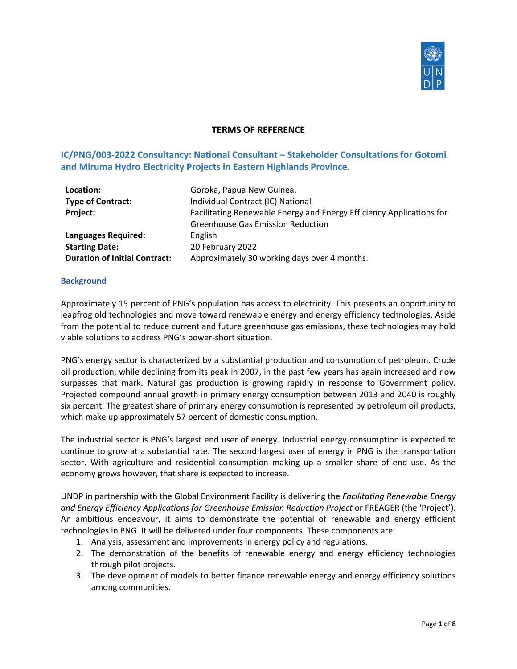

### **TERMS OF REFERENCE**

# **IC/PNG/003-2022 Consultancy: National Consultant – Stakeholder Consultations for Gotomi and Miruma Hydro Electricity Projects in Eastern Highlands Province.**

| Location:<br><b>Type of Contract:</b><br>Project: | Goroka, Papua New Guinea.<br>Individual Contract (IC) National<br>Facilitating Renewable Energy and Energy Efficiency Applications for<br><b>Greenhouse Gas Emission Reduction</b> |
|---------------------------------------------------|------------------------------------------------------------------------------------------------------------------------------------------------------------------------------------|
| Languages Required:                               | English                                                                                                                                                                            |
| <b>Starting Date:</b>                             | 20 February 2022                                                                                                                                                                   |
| <b>Duration of Initial Contract:</b>              | Approximately 30 working days over 4 months.                                                                                                                                       |

#### **Background**

Approximately 15 percent of PNG's population has access to electricity. This presents an opportunity to leapfrog old technologies and move toward renewable energy and energy efficiency technologies. Aside from the potential to reduce current and future greenhouse gas emissions, these technologies may hold viable solutions to address PNG's power-short situation.

PNG's energy sector is characterized by a substantial production and consumption of petroleum. Crude oil production, while declining from its peak in 2007, in the past few years has again increased and now surpasses that mark. Natural gas production is growing rapidly in response to Government policy. Projected compound annual growth in primary energy consumption between 2013 and 2040 is roughly six percent. The greatest share of primary energy consumption is represented by petroleum oil products, which make up approximately 57 percent of domestic consumption.

The industrial sector is PNG's largest end user of energy. Industrial energy consumption is expected to continue to grow at a substantial rate. The second largest user of energy in PNG is the transportation sector. With agriculture and residential consumption making up a smaller share of end use. As the economy grows however, that share is expected to increase.

UNDP in partnership with the Global Environment Facility is delivering the *Facilitating Renewable Energy and Energy Efficiency Applications for Greenhouse Emission Reduction Project* or FREAGER (the 'Project'). An ambitious endeavour, it aims to demonstrate the potential of renewable and energy efficient technologies in PNG. It will be delivered under four components. These components are:

- 1. Analysis, assessment and improvements in energy policy and regulations.
- 2. The demonstration of the benefits of renewable energy and energy efficiency technologies through pilot projects.
- 3. The development of models to better finance renewable energy and energy efficiency solutions among communities.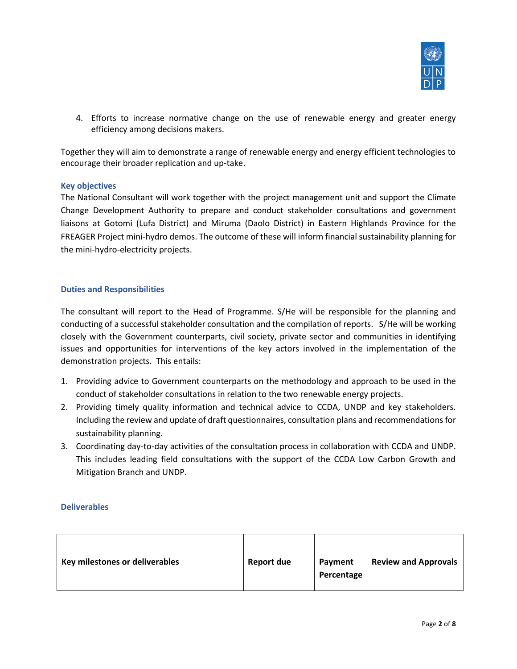

4. Efforts to increase normative change on the use of renewable energy and greater energy efficiency among decisions makers.

Together they will aim to demonstrate a range of renewable energy and energy efficient technologies to encourage their broader replication and up-take.

### **Key objectives**

The National Consultant will work together with the project management unit and support the Climate Change Development Authority to prepare and conduct stakeholder consultations and government liaisons at Gotomi (Lufa District) and Miruma (Daolo District) in Eastern Highlands Province for the FREAGER Project mini-hydro demos. The outcome of these will inform financial sustainability planning for the mini-hydro-electricity projects.

#### **Duties and Responsibilities**

The consultant will report to the Head of Programme. S/He will be responsible for the planning and conducting of a successful stakeholder consultation and the compilation of reports. S/He will be working closely with the Government counterparts, civil society, private sector and communities in identifying issues and opportunities for interventions of the key actors involved in the implementation of the demonstration projects. This entails:

- 1. Providing advice to Government counterparts on the methodology and approach to be used in the conduct of stakeholder consultations in relation to the two renewable energy projects.
- 2. Providing timely quality information and technical advice to CCDA, UNDP and key stakeholders. Including the review and update of draft questionnaires, consultation plans and recommendations for sustainability planning.
- 3. Coordinating day-to-day activities of the consultation process in collaboration with CCDA and UNDP. This includes leading field consultations with the support of the CCDA Low Carbon Growth and Mitigation Branch and UNDP.

#### **Deliverables**

| Key milestones or deliverables | <b>Report due</b> | Payment<br>Percentage | <b>Review and Approvals</b> |
|--------------------------------|-------------------|-----------------------|-----------------------------|
|--------------------------------|-------------------|-----------------------|-----------------------------|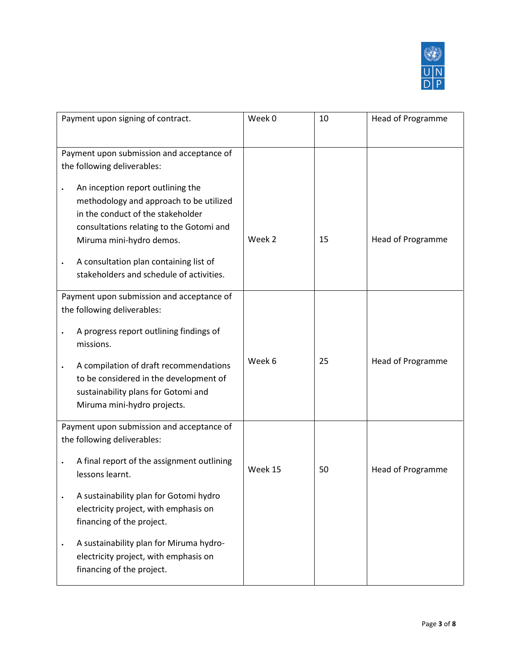

| Payment upon signing of contract.                                                                                                                                                         | Week 0  | 10 | <b>Head of Programme</b> |
|-------------------------------------------------------------------------------------------------------------------------------------------------------------------------------------------|---------|----|--------------------------|
| Payment upon submission and acceptance of<br>the following deliverables:                                                                                                                  |         |    |                          |
| An inception report outlining the<br>methodology and approach to be utilized<br>in the conduct of the stakeholder<br>consultations relating to the Gotomi and<br>Miruma mini-hydro demos. | Week 2  | 15 | Head of Programme        |
| A consultation plan containing list of<br>stakeholders and schedule of activities.                                                                                                        |         |    |                          |
| Payment upon submission and acceptance of<br>the following deliverables:                                                                                                                  |         |    |                          |
| A progress report outlining findings of<br>missions.                                                                                                                                      |         |    |                          |
| A compilation of draft recommendations<br>$\bullet$<br>to be considered in the development of<br>sustainability plans for Gotomi and<br>Miruma mini-hydro projects.                       | Week 6  | 25 | Head of Programme        |
| Payment upon submission and acceptance of<br>the following deliverables:                                                                                                                  |         |    |                          |
| A final report of the assignment outlining<br>$\bullet$<br>lessons learnt.                                                                                                                | Week 15 | 50 | <b>Head of Programme</b> |
| A sustainability plan for Gotomi hydro<br>electricity project, with emphasis on<br>financing of the project.                                                                              |         |    |                          |
| A sustainability plan for Miruma hydro-<br>$\bullet$<br>electricity project, with emphasis on<br>financing of the project.                                                                |         |    |                          |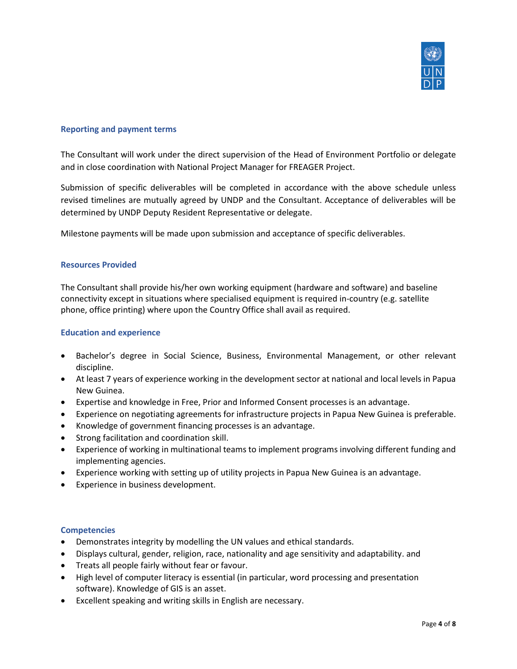

### **Reporting and payment terms**

The Consultant will work under the direct supervision of the Head of Environment Portfolio or delegate and in close coordination with National Project Manager for FREAGER Project.

Submission of specific deliverables will be completed in accordance with the above schedule unless revised timelines are mutually agreed by UNDP and the Consultant. Acceptance of deliverables will be determined by UNDP Deputy Resident Representative or delegate.

Milestone payments will be made upon submission and acceptance of specific deliverables.

#### **Resources Provided**

The Consultant shall provide his/her own working equipment (hardware and software) and baseline connectivity except in situations where specialised equipment is required in-country (e.g. satellite phone, office printing) where upon the Country Office shall avail as required.

### **Education and experience**

- Bachelor's degree in Social Science, Business, Environmental Management, or other relevant discipline.
- At least 7 years of experience working in the development sector at national and local levels in Papua New Guinea.
- Expertise and knowledge in Free, Prior and Informed Consent processes is an advantage.
- Experience on negotiating agreements for infrastructure projects in Papua New Guinea is preferable.
- Knowledge of government financing processes is an advantage.
- Strong facilitation and coordination skill.
- Experience of working in multinational teams to implement programs involving different funding and implementing agencies.
- Experience working with setting up of utility projects in Papua New Guinea is an advantage.
- Experience in business development.

#### **Competencies**

- Demonstrates integrity by modelling the UN values and ethical standards.
- Displays cultural, gender, religion, race, nationality and age sensitivity and adaptability. and
- Treats all people fairly without fear or favour.
- High level of computer literacy is essential (in particular, word processing and presentation software). Knowledge of GIS is an asset.
- Excellent speaking and writing skills in English are necessary.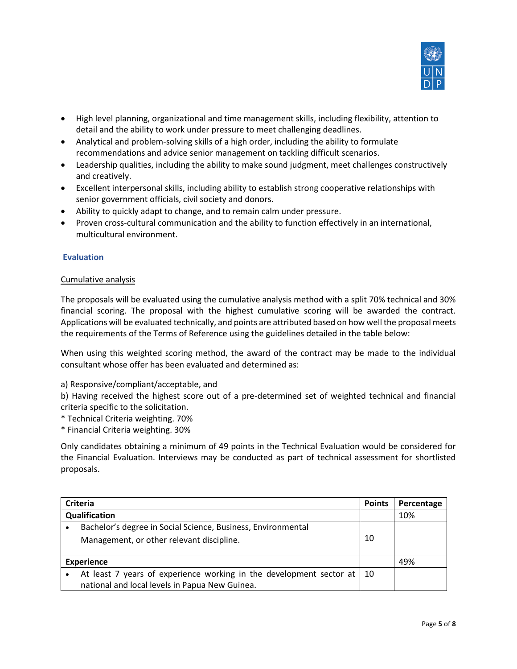

- High level planning, organizational and time management skills, including flexibility, attention to detail and the ability to work under pressure to meet challenging deadlines.
- Analytical and problem-solving skills of a high order, including the ability to formulate recommendations and advice senior management on tackling difficult scenarios.
- Leadership qualities, including the ability to make sound judgment, meet challenges constructively and creatively.
- Excellent interpersonal skills, including ability to establish strong cooperative relationships with senior government officials, civil society and donors.
- Ability to quickly adapt to change, and to remain calm under pressure.
- Proven cross-cultural communication and the ability to function effectively in an international, multicultural environment.

### **Evaluation**

#### Cumulative analysis

The proposals will be evaluated using the cumulative analysis method with a split 70% technical and 30% financial scoring. The proposal with the highest cumulative scoring will be awarded the contract. Applications will be evaluated technically, and points are attributed based on how well the proposal meets the requirements of the Terms of Reference using the guidelines detailed in the table below:

When using this weighted scoring method, the award of the contract may be made to the individual consultant whose offer has been evaluated and determined as:

a) Responsive/compliant/acceptable, and

b) Having received the highest score out of a pre-determined set of weighted technical and financial criteria specific to the solicitation.

- \* Technical Criteria weighting. 70%
- \* Financial Criteria weighting. 30%

Only candidates obtaining a minimum of 49 points in the Technical Evaluation would be considered for the Financial Evaluation. Interviews may be conducted as part of technical assessment for shortlisted proposals.

| Criteria          |                                                                     | <b>Points</b> | Percentage |
|-------------------|---------------------------------------------------------------------|---------------|------------|
| Qualification     |                                                                     |               | 10%        |
|                   | Bachelor's degree in Social Science, Business, Environmental        |               |            |
|                   | Management, or other relevant discipline.                           | 10            |            |
| <b>Experience</b> |                                                                     |               | 49%        |
|                   | At least 7 years of experience working in the development sector at | 10            |            |
|                   | national and local levels in Papua New Guinea.                      |               |            |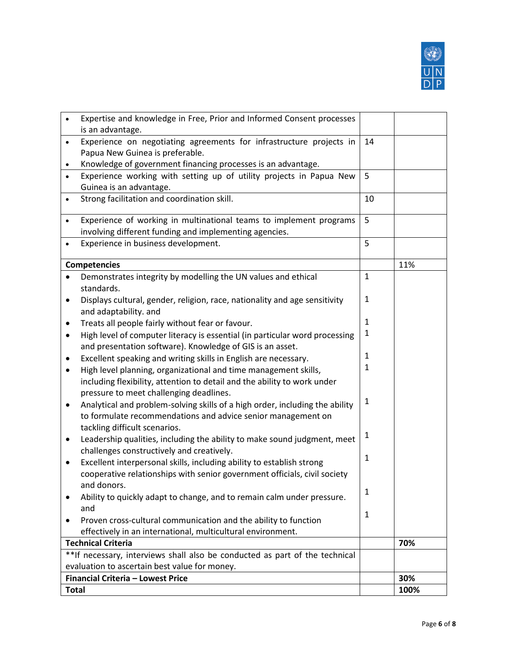

|              | Expertise and knowledge in Free, Prior and Informed Consent processes                                                          |              |      |
|--------------|--------------------------------------------------------------------------------------------------------------------------------|--------------|------|
|              | is an advantage.                                                                                                               |              |      |
| $\bullet$    | Experience on negotiating agreements for infrastructure projects in                                                            | 14           |      |
|              | Papua New Guinea is preferable.                                                                                                |              |      |
| ٠            | Knowledge of government financing processes is an advantage.                                                                   |              |      |
|              | Experience working with setting up of utility projects in Papua New                                                            | 5            |      |
|              | Guinea is an advantage.                                                                                                        |              |      |
| $\bullet$    | Strong facilitation and coordination skill.                                                                                    | 10           |      |
| ٠            | Experience of working in multinational teams to implement programs                                                             | 5            |      |
|              | involving different funding and implementing agencies.                                                                         |              |      |
|              | Experience in business development.                                                                                            | 5            |      |
|              |                                                                                                                                |              |      |
|              | <b>Competencies</b>                                                                                                            |              | 11%  |
|              | Demonstrates integrity by modelling the UN values and ethical<br>standards.                                                    | $\mathbf{1}$ |      |
| ٠            | Displays cultural, gender, religion, race, nationality and age sensitivity                                                     | 1            |      |
|              | and adaptability. and                                                                                                          |              |      |
| $\bullet$    | Treats all people fairly without fear or favour.                                                                               | 1            |      |
| ٠            | High level of computer literacy is essential (in particular word processing                                                    | 1            |      |
|              | and presentation software). Knowledge of GIS is an asset.                                                                      |              |      |
| $\bullet$    | Excellent speaking and writing skills in English are necessary.                                                                | 1            |      |
| ٠            | High level planning, organizational and time management skills,                                                                | $\mathbf{1}$ |      |
|              | including flexibility, attention to detail and the ability to work under                                                       |              |      |
|              | pressure to meet challenging deadlines.                                                                                        |              |      |
| $\bullet$    | Analytical and problem-solving skills of a high order, including the ability                                                   | 1            |      |
|              | to formulate recommendations and advice senior management on                                                                   |              |      |
|              | tackling difficult scenarios.                                                                                                  | 1            |      |
| $\bullet$    | Leadership qualities, including the ability to make sound judgment, meet                                                       |              |      |
|              | challenges constructively and creatively.                                                                                      | $\mathbf{1}$ |      |
| $\bullet$    | Excellent interpersonal skills, including ability to establish strong                                                          |              |      |
|              | cooperative relationships with senior government officials, civil society                                                      |              |      |
|              | and donors.                                                                                                                    | 1            |      |
|              | Ability to quickly adapt to change, and to remain calm under pressure.                                                         |              |      |
|              | and                                                                                                                            | 1            |      |
|              | Proven cross-cultural communication and the ability to function<br>effectively in an international, multicultural environment. |              |      |
|              |                                                                                                                                |              |      |
|              | <b>Technical Criteria</b>                                                                                                      |              | 70%  |
|              | **If necessary, interviews shall also be conducted as part of the technical                                                    |              |      |
|              | evaluation to ascertain best value for money.<br><b>Financial Criteria - Lowest Price</b>                                      |              | 30%  |
| <b>Total</b> |                                                                                                                                |              | 100% |
|              |                                                                                                                                |              |      |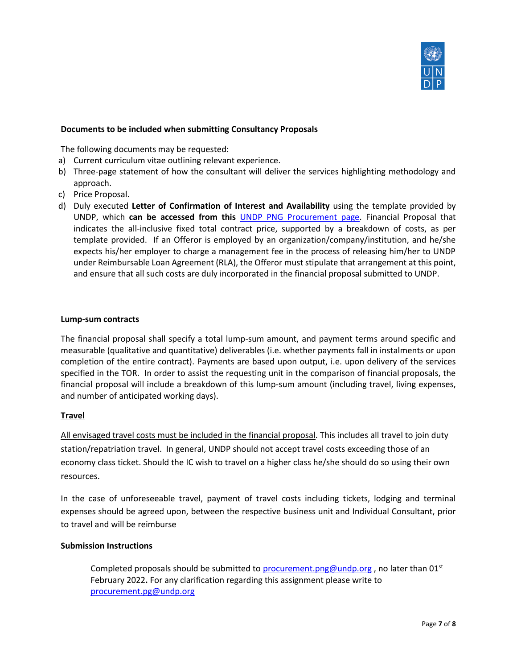

### **Documents to be included when submitting Consultancy Proposals**

The following documents may be requested:

- a) Current curriculum vitae outlining relevant experience.
- b) Three-page statement of how the consultant will deliver the services highlighting methodology and approach.
- c) Price Proposal.
- d) Duly executed **Letter of Confirmation of Interest and Availability** using the template provided by UNDP, which **can be accessed from this** UNDP [PNG Procurement page.](http://www.pacific.undp.org/content/dam/fiji/docs/Procurement/Confirmation-of-Interest-Submission-of-Financial-Proposal-Template.docx) Financial Proposal that indicates the all-inclusive fixed total contract price, supported by a breakdown of costs, as per template provided. If an Offeror is employed by an organization/company/institution, and he/she expects his/her employer to charge a management fee in the process of releasing him/her to UNDP under Reimbursable Loan Agreement (RLA), the Offeror must stipulate that arrangement at this point, and ensure that all such costs are duly incorporated in the financial proposal submitted to UNDP.

#### **Lump-sum contracts**

The financial proposal shall specify a total lump-sum amount, and payment terms around specific and measurable (qualitative and quantitative) deliverables (i.e. whether payments fall in instalments or upon completion of the entire contract). Payments are based upon output, i.e. upon delivery of the services specified in the TOR. In order to assist the requesting unit in the comparison of financial proposals, the financial proposal will include a breakdown of this lump-sum amount (including travel, living expenses, and number of anticipated working days).

### **Travel**

All envisaged travel costs must be included in the financial proposal. This includes all travel to join duty station/repatriation travel. In general, UNDP should not accept travel costs exceeding those of an economy class ticket. Should the IC wish to travel on a higher class he/she should do so using their own resources.

In the case of unforeseeable travel, payment of travel costs including tickets, lodging and terminal expenses should be agreed upon, between the respective business unit and Individual Consultant, prior to travel and will be reimburse

#### **Submission Instructions**

Completed proposals should be submitted to [procurement.png@undp.org](mailto:procurement.png@undp.org), no later than  $01<sup>st</sup>$ February 2022**.** For any clarification regarding this assignment please write to [procurement.pg@undp.org](mailto:procurement.pg@undp.org)